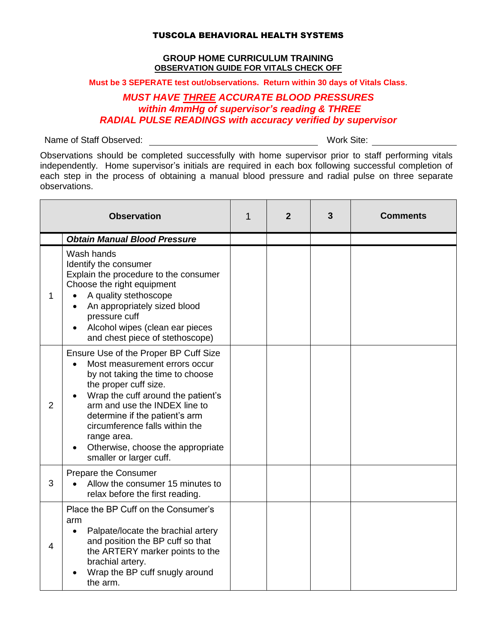## TUSCOLA BEHAVIORAL HEALTH SYSTEMS

## **GROUP HOME CURRICULUM TRAINING OBSERVATION GUIDE FOR VITALS CHECK OFF**

**Must be 3 SEPERATE test out/observations. Return within 30 days of Vitals Class**.

## *MUST HAVE THREE ACCURATE BLOOD PRESSURES within 4mmHg of supervisor's reading & THREE RADIAL PULSE READINGS with accuracy verified by supervisor*

Name of Staff Observed: Work Site:

Observations should be completed successfully with home supervisor prior to staff performing vitals independently. Home supervisor's initials are required in each box following successful completion of each step in the process of obtaining a manual blood pressure and radial pulse on three separate observations.

| <b>Observation</b> |                                                                                                                                                                                                                                                                                                                                                               | 1 | $\overline{2}$ | 3 | <b>Comments</b> |
|--------------------|---------------------------------------------------------------------------------------------------------------------------------------------------------------------------------------------------------------------------------------------------------------------------------------------------------------------------------------------------------------|---|----------------|---|-----------------|
|                    | <b>Obtain Manual Blood Pressure</b>                                                                                                                                                                                                                                                                                                                           |   |                |   |                 |
| 1                  | Wash hands<br>Identify the consumer<br>Explain the procedure to the consumer<br>Choose the right equipment<br>A quality stethoscope<br>An appropriately sized blood<br>pressure cuff<br>Alcohol wipes (clean ear pieces<br>and chest piece of stethoscope)                                                                                                    |   |                |   |                 |
| 2                  | Ensure Use of the Proper BP Cuff Size<br>Most measurement errors occur<br>by not taking the time to choose<br>the proper cuff size.<br>Wrap the cuff around the patient's<br>arm and use the INDEX line to<br>determine if the patient's arm<br>circumference falls within the<br>range area.<br>Otherwise, choose the appropriate<br>smaller or larger cuff. |   |                |   |                 |
| 3                  | <b>Prepare the Consumer</b><br>Allow the consumer 15 minutes to<br>relax before the first reading.                                                                                                                                                                                                                                                            |   |                |   |                 |
| 4                  | Place the BP Cuff on the Consumer's<br>arm<br>Palpate/locate the brachial artery<br>$\bullet$<br>and position the BP cuff so that<br>the ARTERY marker points to the<br>brachial artery.<br>Wrap the BP cuff snugly around<br>the arm.                                                                                                                        |   |                |   |                 |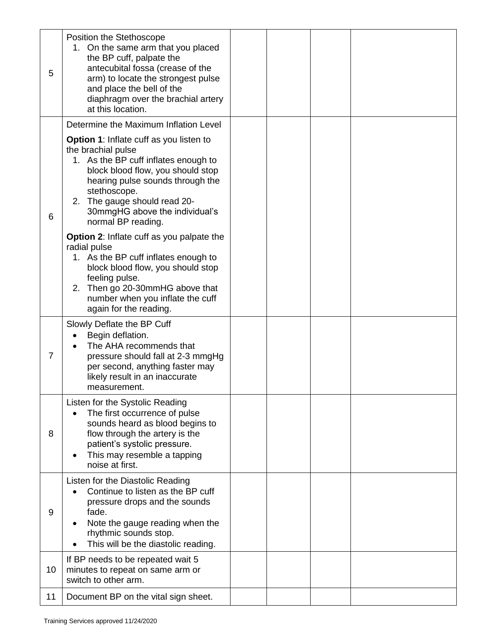| 5              | Position the Stethoscope<br>1. On the same arm that you placed<br>the BP cuff, palpate the<br>antecubital fossa (crease of the<br>arm) to locate the strongest pulse<br>and place the bell of the<br>diaphragm over the brachial artery<br>at this location.                           |  |  |
|----------------|----------------------------------------------------------------------------------------------------------------------------------------------------------------------------------------------------------------------------------------------------------------------------------------|--|--|
|                | Determine the Maximum Inflation Level                                                                                                                                                                                                                                                  |  |  |
| 6              | Option 1: Inflate cuff as you listen to<br>the brachial pulse<br>1. As the BP cuff inflates enough to<br>block blood flow, you should stop<br>hearing pulse sounds through the<br>stethoscope.<br>2. The gauge should read 20-<br>30mmgHG above the individual's<br>normal BP reading. |  |  |
|                | <b>Option 2:</b> Inflate cuff as you palpate the<br>radial pulse<br>1. As the BP cuff inflates enough to<br>block blood flow, you should stop<br>feeling pulse.<br>2. Then go 20-30mmHG above that<br>number when you inflate the cuff<br>again for the reading.                       |  |  |
| $\overline{7}$ | Slowly Deflate the BP Cuff<br>Begin deflation.<br>The AHA recommends that<br>pressure should fall at 2-3 mmgHg<br>per second, anything faster may<br>likely result in an inaccurate<br>measurement.                                                                                    |  |  |
| 8              | Listen for the Systolic Reading<br>The first occurrence of pulse<br>$\bullet$<br>sounds heard as blood begins to<br>flow through the artery is the<br>patient's systolic pressure.<br>This may resemble a tapping<br>noise at first.                                                   |  |  |
| 9              | Listen for the Diastolic Reading<br>Continue to listen as the BP cuff<br>pressure drops and the sounds<br>fade.<br>Note the gauge reading when the<br>$\bullet$<br>rhythmic sounds stop.<br>This will be the diastolic reading.                                                        |  |  |
| 10             | If BP needs to be repeated wait 5<br>minutes to repeat on same arm or<br>switch to other arm.                                                                                                                                                                                          |  |  |
| 11             | Document BP on the vital sign sheet.                                                                                                                                                                                                                                                   |  |  |